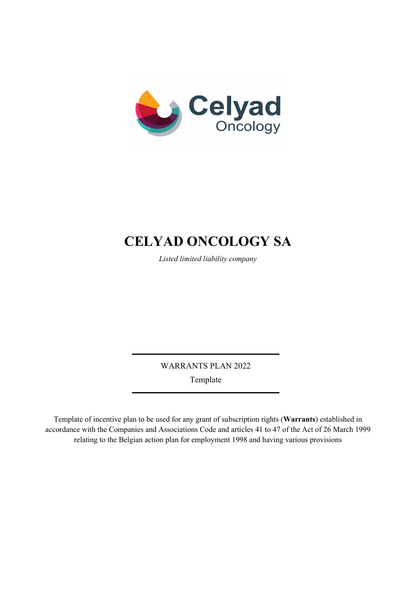

# **CELYAD ONCOLOGY SA**

*Listed limited liability company* 

WARRANTS PLAN 2022 Template

Template of incentive plan to be used for any grant of subscription rights (**Warrants**) established in accordance with the Companies and Associations Code and articles 41 to 47 of the Act of 26 March 1999 relating to the Belgian action plan for employment 1998 and having various provisions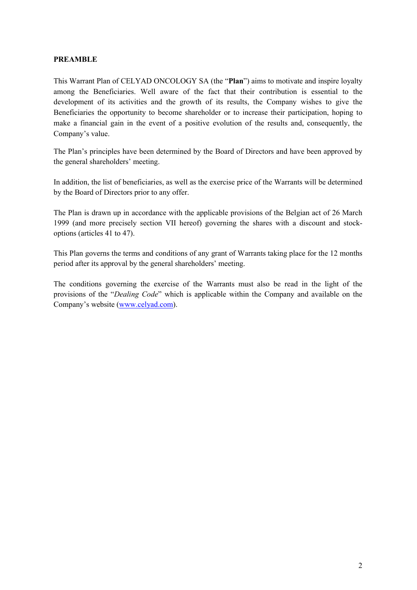## **PREAMBLE**

This Warrant Plan of CELYAD ONCOLOGY SA (the "**Plan**") aims to motivate and inspire loyalty among the Beneficiaries. Well aware of the fact that their contribution is essential to the development of its activities and the growth of its results, the Company wishes to give the Beneficiaries the opportunity to become shareholder or to increase their participation, hoping to make a financial gain in the event of a positive evolution of the results and, consequently, the Company's value.

The Plan's principles have been determined by the Board of Directors and have been approved by the general shareholders' meeting.

In addition, the list of beneficiaries, as well as the exercise price of the Warrants will be determined by the Board of Directors prior to any offer.

The Plan is drawn up in accordance with the applicable provisions of the Belgian act of 26 March 1999 (and more precisely section VII hereof) governing the shares with a discount and stockoptions (articles 41 to 47).

This Plan governs the terms and conditions of any grant of Warrants taking place for the 12 months period after its approval by the general shareholders' meeting.

The conditions governing the exercise of the Warrants must also be read in the light of the provisions of the "*Dealing Code*" which is applicable within the Company and available on the Company's website [\(www.celyad.com\)](http://www.celyad.com/).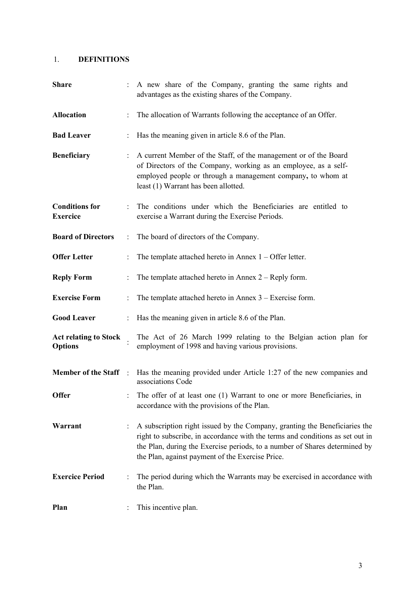# 1. **DEFINITIONS**

| <b>Share</b>                                   |                      | A new share of the Company, granting the same rights and<br>advantages as the existing shares of the Company.                                                                                                                                                                                 |
|------------------------------------------------|----------------------|-----------------------------------------------------------------------------------------------------------------------------------------------------------------------------------------------------------------------------------------------------------------------------------------------|
| <b>Allocation</b>                              |                      | The allocation of Warrants following the acceptance of an Offer.                                                                                                                                                                                                                              |
| <b>Bad Leaver</b>                              |                      | Has the meaning given in article 8.6 of the Plan.                                                                                                                                                                                                                                             |
| <b>Beneficiary</b>                             |                      | A current Member of the Staff, of the management or of the Board<br>of Directors of the Company, working as an employee, as a self-<br>employed people or through a management company, to whom at<br>least (1) Warrant has been allotted.                                                    |
| <b>Conditions for</b><br><b>Exercice</b>       |                      | The conditions under which the Beneficiaries are entitled to<br>exercise a Warrant during the Exercise Periods.                                                                                                                                                                               |
| <b>Board of Directors</b>                      | $\ddot{\phantom{a}}$ | The board of directors of the Company.                                                                                                                                                                                                                                                        |
| <b>Offer Letter</b>                            |                      | The template attached hereto in Annex $1 -$ Offer letter.                                                                                                                                                                                                                                     |
| <b>Reply Form</b>                              |                      | The template attached hereto in Annex $2 -$ Reply form.                                                                                                                                                                                                                                       |
| <b>Exercise Form</b>                           |                      | The template attached hereto in Annex $3 -$ Exercise form.                                                                                                                                                                                                                                    |
| <b>Good Leaver</b>                             | $\ddot{\phantom{a}}$ | Has the meaning given in article 8.6 of the Plan.                                                                                                                                                                                                                                             |
| <b>Act relating to Stock</b><br><b>Options</b> |                      | The Act of 26 March 1999 relating to the Belgian action plan for<br>employment of 1998 and having various provisions.                                                                                                                                                                         |
| <b>Member of the Staff</b>                     | $\mathbb{R}^2$       | Has the meaning provided under Article 1:27 of the new companies and<br>associations Code                                                                                                                                                                                                     |
| Offer                                          |                      | The offer of at least one (1) Warrant to one or more Beneficiaries, in<br>accordance with the provisions of the Plan.                                                                                                                                                                         |
| Warrant                                        |                      | A subscription right issued by the Company, granting the Beneficiaries the<br>right to subscribe, in accordance with the terms and conditions as set out in<br>the Plan, during the Exercise periods, to a number of Shares determined by<br>the Plan, against payment of the Exercise Price. |
| <b>Exercice Period</b>                         |                      | The period during which the Warrants may be exercised in accordance with<br>the Plan.                                                                                                                                                                                                         |
| Plan                                           |                      | This incentive plan.                                                                                                                                                                                                                                                                          |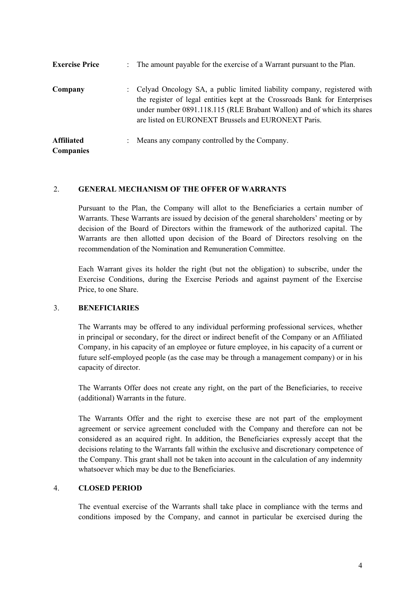| <b>Exercise Price</b>                 | : The amount payable for the exercise of a Warrant pursuant to the Plan.                                                                                                                                                                                                                 |
|---------------------------------------|------------------------------------------------------------------------------------------------------------------------------------------------------------------------------------------------------------------------------------------------------------------------------------------|
| Company                               | : Celyad Oncology SA, a public limited liability company, registered with<br>the register of legal entities kept at the Crossroads Bank for Enterprises<br>under number 0891.118.115 (RLE Brabant Wallon) and of which its shares<br>are listed on EURONEXT Brussels and EURONEXT Paris. |
| <b>Affiliated</b><br><b>Companies</b> | : Means any company controlled by the Company.                                                                                                                                                                                                                                           |

#### 2. **GENERAL MECHANISM OF THE OFFER OF WARRANTS**

Pursuant to the Plan, the Company will allot to the Beneficiaries a certain number of Warrants. These Warrants are issued by decision of the general shareholders' meeting or by decision of the Board of Directors within the framework of the authorized capital. The Warrants are then allotted upon decision of the Board of Directors resolving on the recommendation of the Nomination and Remuneration Committee.

Each Warrant gives its holder the right (but not the obligation) to subscribe, under the Exercise Conditions, during the Exercise Periods and against payment of the Exercise Price, to one Share.

## 3. **BENEFICIARIES**

The Warrants may be offered to any individual performing professional services, whether in principal or secondary, for the direct or indirect benefit of the Company or an Affiliated Company, in his capacity of an employee or future employee, in his capacity of a current or future self-employed people (as the case may be through a management company) or in his capacity of director.

The Warrants Offer does not create any right, on the part of the Beneficiaries, to receive (additional) Warrants in the future.

The Warrants Offer and the right to exercise these are not part of the employment agreement or service agreement concluded with the Company and therefore can not be considered as an acquired right. In addition, the Beneficiaries expressly accept that the decisions relating to the Warrants fall within the exclusive and discretionary competence of the Company. This grant shall not be taken into account in the calculation of any indemnity whatsoever which may be due to the Beneficiaries.

## 4. **CLOSED PERIOD**

The eventual exercise of the Warrants shall take place in compliance with the terms and conditions imposed by the Company, and cannot in particular be exercised during the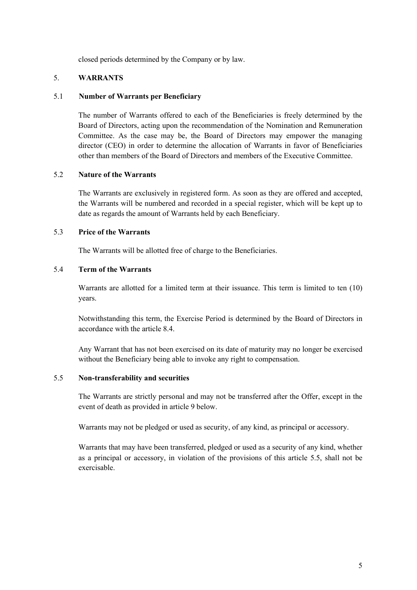closed periods determined by the Company or by law.

## 5. **WARRANTS**

#### 5.1 **Number of Warrants per Beneficiary**

The number of Warrants offered to each of the Beneficiaries is freely determined by the Board of Directors, acting upon the recommendation of the Nomination and Remuneration Committee. As the case may be, the Board of Directors may empower the managing director (CEO) in order to determine the allocation of Warrants in favor of Beneficiaries other than members of the Board of Directors and members of the Executive Committee.

## 5.2 **Nature of the Warrants**

The Warrants are exclusively in registered form. As soon as they are offered and accepted, the Warrants will be numbered and recorded in a special register, which will be kept up to date as regards the amount of Warrants held by each Beneficiary.

## 5.3 **Price of the Warrants**

The Warrants will be allotted free of charge to the Beneficiaries.

## 5.4 **Term of the Warrants**

Warrants are allotted for a limited term at their issuance. This term is limited to ten (10) years.

Notwithstanding this term, the Exercise Period is determined by the Board of Directors in accordance with the article 8.4.

Any Warrant that has not been exercised on its date of maturity may no longer be exercised without the Beneficiary being able to invoke any right to compensation.

#### 5.5 **Non-transferability and securities**

The Warrants are strictly personal and may not be transferred after the Offer, except in the event of death as provided in article 9 below.

Warrants may not be pledged or used as security, of any kind, as principal or accessory.

Warrants that may have been transferred, pledged or used as a security of any kind, whether as a principal or accessory, in violation of the provisions of this article 5.5, shall not be exercisable.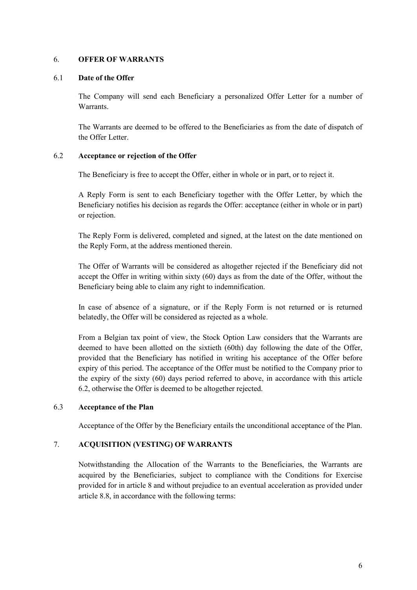#### 6. **OFFER OF WARRANTS**

## 6.1 **Date of the Offer**

The Company will send each Beneficiary a personalized Offer Letter for a number of Warrants.

The Warrants are deemed to be offered to the Beneficiaries as from the date of dispatch of the Offer Letter.

## 6.2 **Acceptance or rejection of the Offer**

The Beneficiary is free to accept the Offer, either in whole or in part, or to reject it.

A Reply Form is sent to each Beneficiary together with the Offer Letter, by which the Beneficiary notifies his decision as regards the Offer: acceptance (either in whole or in part) or rejection.

The Reply Form is delivered, completed and signed, at the latest on the date mentioned on the Reply Form, at the address mentioned therein.

The Offer of Warrants will be considered as altogether rejected if the Beneficiary did not accept the Offer in writing within sixty (60) days as from the date of the Offer, without the Beneficiary being able to claim any right to indemnification.

In case of absence of a signature, or if the Reply Form is not returned or is returned belatedly, the Offer will be considered as rejected as a whole.

From a Belgian tax point of view, the Stock Option Law considers that the Warrants are deemed to have been allotted on the sixtieth (60th) day following the date of the Offer, provided that the Beneficiary has notified in writing his acceptance of the Offer before expiry of this period. The acceptance of the Offer must be notified to the Company prior to the expiry of the sixty (60) days period referred to above, in accordance with this article 6.2, otherwise the Offer is deemed to be altogether rejected.

## 6.3 **Acceptance of the Plan**

Acceptance of the Offer by the Beneficiary entails the unconditional acceptance of the Plan.

## 7. **ACQUISITION (VESTING) OF WARRANTS**

Notwithstanding the Allocation of the Warrants to the Beneficiaries, the Warrants are acquired by the Beneficiaries, subject to compliance with the Conditions for Exercise provided for in article 8 and without prejudice to an eventual acceleration as provided under article 8.8, in accordance with the following terms: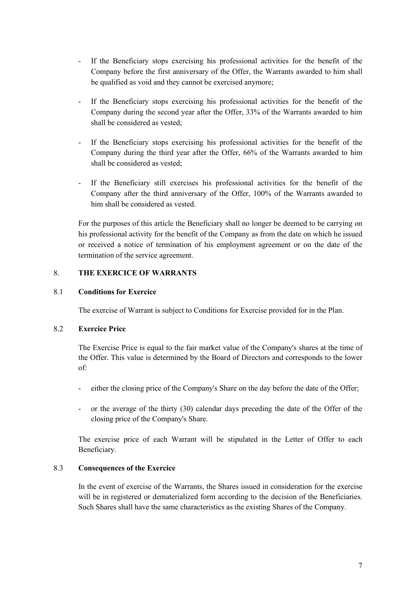- If the Beneficiary stops exercising his professional activities for the benefit of the Company before the first anniversary of the Offer, the Warrants awarded to him shall be qualified as void and they cannot be exercised anymore;
- If the Beneficiary stops exercising his professional activities for the benefit of the Company during the second year after the Offer, 33% of the Warrants awarded to him shall be considered as vested;
- If the Beneficiary stops exercising his professional activities for the benefit of the Company during the third year after the Offer, 66% of the Warrants awarded to him shall be considered as vested;
- If the Beneficiary still exercises his professional activities for the benefit of the Company after the third anniversary of the Offer, 100% of the Warrants awarded to him shall be considered as vested.

For the purposes of this article the Beneficiary shall no longer be deemed to be carrying on his professional activity for the benefit of the Company as from the date on which he issued or received a notice of termination of his employment agreement or on the date of the termination of the service agreement.

## 8. **THE EXERCICE OF WARRANTS**

#### 8.1 **Conditions for Exercice**

The exercise of Warrant is subject to Conditions for Exercise provided for in the Plan.

#### 8.2 **Exercice Price**

The Exercise Price is equal to the fair market value of the Company's shares at the time of the Offer. This value is determined by the Board of Directors and corresponds to the lower of:

- either the closing price of the Company's Share on the day before the date of the Offer;
- or the average of the thirty (30) calendar days preceding the date of the Offer of the closing price of the Company's Share.

The exercise price of each Warrant will be stipulated in the Letter of Offer to each Beneficiary.

#### 8.3 **Consequences of the Exercice**

In the event of exercise of the Warrants, the Shares issued in consideration for the exercise will be in registered or dematerialized form according to the decision of the Beneficiaries. Such Shares shall have the same characteristics as the existing Shares of the Company.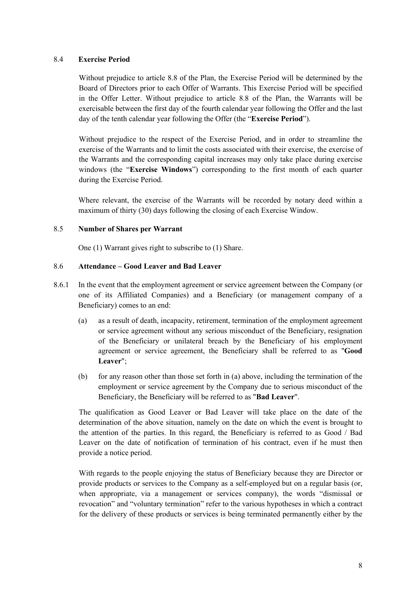## 8.4 **Exercise Period**

Without prejudice to article 8.8 of the Plan, the Exercise Period will be determined by the Board of Directors prior to each Offer of Warrants. This Exercise Period will be specified in the Offer Letter. Without prejudice to article 8.8 of the Plan, the Warrants will be exercisable between the first day of the fourth calendar year following the Offer and the last day of the tenth calendar year following the Offer (the "**Exercise Period**").

Without prejudice to the respect of the Exercise Period, and in order to streamline the exercise of the Warrants and to limit the costs associated with their exercise, the exercise of the Warrants and the corresponding capital increases may only take place during exercise windows (the "**Exercise Windows**") corresponding to the first month of each quarter during the Exercise Period.

Where relevant, the exercise of the Warrants will be recorded by notary deed within a maximum of thirty (30) days following the closing of each Exercise Window.

## 8.5 **Number of Shares per Warrant**

One (1) Warrant gives right to subscribe to (1) Share.

## 8.6 **Attendance – Good Leaver and Bad Leaver**

- 8.6.1 In the event that the employment agreement or service agreement between the Company (or one of its Affiliated Companies) and a Beneficiary (or management company of a Beneficiary) comes to an end:
	- (a) as a result of death, incapacity, retirement, termination of the employment agreement or service agreement without any serious misconduct of the Beneficiary, resignation of the Beneficiary or unilateral breach by the Beneficiary of his employment agreement or service agreement, the Beneficiary shall be referred to as "**Good Leaver**";
	- (b) for any reason other than those set forth in (a) above, including the termination of the employment or service agreement by the Company due to serious misconduct of the Beneficiary, the Beneficiary will be referred to as "**Bad Leaver**".

The qualification as Good Leaver or Bad Leaver will take place on the date of the determination of the above situation, namely on the date on which the event is brought to the attention of the parties. In this regard, the Beneficiary is referred to as Good / Bad Leaver on the date of notification of termination of his contract, even if he must then provide a notice period.

With regards to the people enjoying the status of Beneficiary because they are Director or provide products or services to the Company as a self-employed but on a regular basis (or, when appropriate, via a management or services company), the words "dismissal or revocation" and "voluntary termination" refer to the various hypotheses in which a contract for the delivery of these products or services is being terminated permanently either by the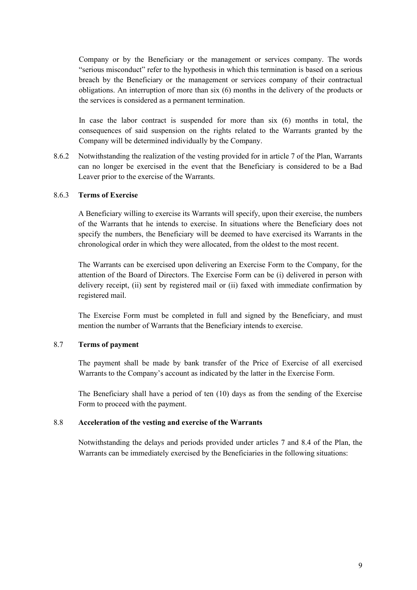Company or by the Beneficiary or the management or services company. The words "serious misconduct" refer to the hypothesis in which this termination is based on a serious breach by the Beneficiary or the management or services company of their contractual obligations. An interruption of more than six (6) months in the delivery of the products or the services is considered as a permanent termination.

In case the labor contract is suspended for more than six (6) months in total, the consequences of said suspension on the rights related to the Warrants granted by the Company will be determined individually by the Company.

8.6.2 Notwithstanding the realization of the vesting provided for in article 7 of the Plan, Warrants can no longer be exercised in the event that the Beneficiary is considered to be a Bad Leaver prior to the exercise of the Warrants.

#### 8.6.3 **Terms of Exercise**

A Beneficiary willing to exercise its Warrants will specify, upon their exercise, the numbers of the Warrants that he intends to exercise. In situations where the Beneficiary does not specify the numbers, the Beneficiary will be deemed to have exercised its Warrants in the chronological order in which they were allocated, from the oldest to the most recent.

The Warrants can be exercised upon delivering an Exercise Form to the Company, for the attention of the Board of Directors. The Exercise Form can be (i) delivered in person with delivery receipt, (ii) sent by registered mail or (ii) faxed with immediate confirmation by registered mail.

The Exercise Form must be completed in full and signed by the Beneficiary, and must mention the number of Warrants that the Beneficiary intends to exercise.

#### 8.7 **Terms of payment**

The payment shall be made by bank transfer of the Price of Exercise of all exercised Warrants to the Company's account as indicated by the latter in the Exercise Form.

The Beneficiary shall have a period of ten (10) days as from the sending of the Exercise Form to proceed with the payment.

#### 8.8 **Acceleration of the vesting and exercise of the Warrants**

Notwithstanding the delays and periods provided under articles 7 and 8.4 of the Plan, the Warrants can be immediately exercised by the Beneficiaries in the following situations: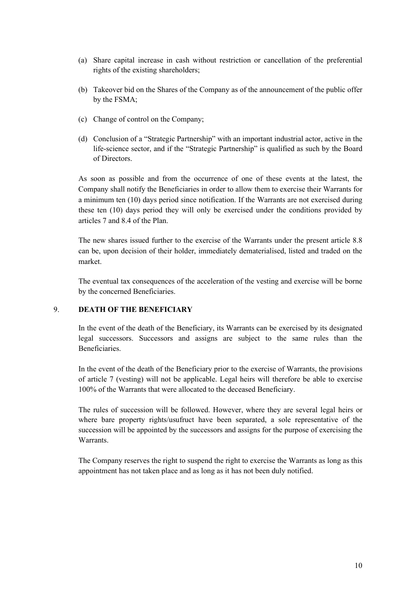- (a) Share capital increase in cash without restriction or cancellation of the preferential rights of the existing shareholders;
- (b) Takeover bid on the Shares of the Company as of the announcement of the public offer by the FSMA;
- (c) Change of control on the Company;
- (d) Conclusion of a "Strategic Partnership" with an important industrial actor, active in the life-science sector, and if the "Strategic Partnership" is qualified as such by the Board of Directors.

As soon as possible and from the occurrence of one of these events at the latest, the Company shall notify the Beneficiaries in order to allow them to exercise their Warrants for a minimum ten (10) days period since notification. If the Warrants are not exercised during these ten (10) days period they will only be exercised under the conditions provided by articles 7 and 8.4 of the Plan.

The new shares issued further to the exercise of the Warrants under the present article 8.8 can be, upon decision of their holder, immediately dematerialised, listed and traded on the market.

The eventual tax consequences of the acceleration of the vesting and exercise will be borne by the concerned Beneficiaries.

#### 9. **DEATH OF THE BENEFICIARY**

In the event of the death of the Beneficiary, its Warrants can be exercised by its designated legal successors. Successors and assigns are subject to the same rules than the Beneficiaries.

In the event of the death of the Beneficiary prior to the exercise of Warrants, the provisions of article 7 (vesting) will not be applicable. Legal heirs will therefore be able to exercise 100% of the Warrants that were allocated to the deceased Beneficiary.

The rules of succession will be followed. However, where they are several legal heirs or where bare property rights/usufruct have been separated, a sole representative of the succession will be appointed by the successors and assigns for the purpose of exercising the Warrants.

The Company reserves the right to suspend the right to exercise the Warrants as long as this appointment has not taken place and as long as it has not been duly notified.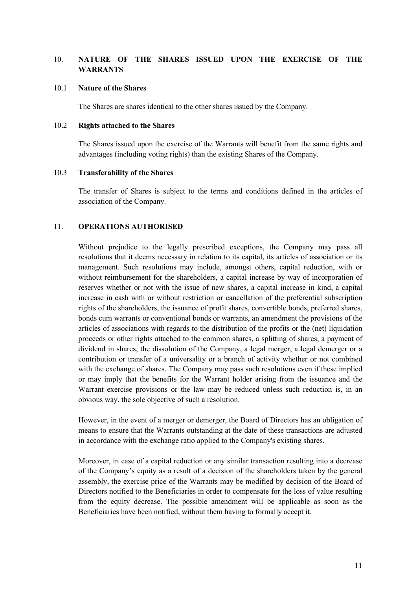## 10. **NATURE OF THE SHARES ISSUED UPON THE EXERCISE OF THE WARRANTS**

#### 10.1 **Nature of the Shares**

The Shares are shares identical to the other shares issued by the Company.

#### 10.2 **Rights attached to the Shares**

The Shares issued upon the exercise of the Warrants will benefit from the same rights and advantages (including voting rights) than the existing Shares of the Company.

#### 10.3 **Transferability of the Shares**

The transfer of Shares is subject to the terms and conditions defined in the articles of association of the Company.

#### 11. **OPERATIONS AUTHORISED**

Without prejudice to the legally prescribed exceptions, the Company may pass all resolutions that it deems necessary in relation to its capital, its articles of association or its management. Such resolutions may include, amongst others, capital reduction, with or without reimbursement for the shareholders, a capital increase by way of incorporation of reserves whether or not with the issue of new shares, a capital increase in kind, a capital increase in cash with or without restriction or cancellation of the preferential subscription rights of the shareholders, the issuance of profit shares, convertible bonds, preferred shares, bonds cum warrants or conventional bonds or warrants, an amendment the provisions of the articles of associations with regards to the distribution of the profits or the (net) liquidation proceeds or other rights attached to the common shares, a splitting of shares, a payment of dividend in shares, the dissolution of the Company, a legal merger, a legal demerger or a contribution or transfer of a universality or a branch of activity whether or not combined with the exchange of shares. The Company may pass such resolutions even if these implied or may imply that the benefits for the Warrant holder arising from the issuance and the Warrant exercise provisions or the law may be reduced unless such reduction is, in an obvious way, the sole objective of such a resolution.

However, in the event of a merger or demerger, the Board of Directors has an obligation of means to ensure that the Warrants outstanding at the date of these transactions are adjusted in accordance with the exchange ratio applied to the Company's existing shares.

Moreover, in case of a capital reduction or any similar transaction resulting into a decrease of the Company's equity as a result of a decision of the shareholders taken by the general assembly, the exercise price of the Warrants may be modified by decision of the Board of Directors notified to the Beneficiaries in order to compensate for the loss of value resulting from the equity decrease. The possible amendment will be applicable as soon as the Beneficiaries have been notified, without them having to formally accept it.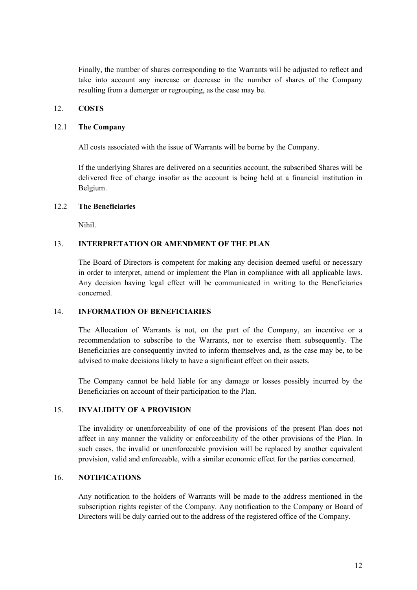Finally, the number of shares corresponding to the Warrants will be adjusted to reflect and take into account any increase or decrease in the number of shares of the Company resulting from a demerger or regrouping, as the case may be.

#### 12. **COSTS**

#### 12.1 **The Company**

All costs associated with the issue of Warrants will be borne by the Company.

If the underlying Shares are delivered on a securities account, the subscribed Shares will be delivered free of charge insofar as the account is being held at a financial institution in Belgium.

## 12.2 **The Beneficiaries**

Nihil.

## 13. **INTERPRETATION OR AMENDMENT OF THE PLAN**

The Board of Directors is competent for making any decision deemed useful or necessary in order to interpret, amend or implement the Plan in compliance with all applicable laws. Any decision having legal effect will be communicated in writing to the Beneficiaries concerned.

## 14. **INFORMATION OF BENEFICIARIES**

The Allocation of Warrants is not, on the part of the Company, an incentive or a recommendation to subscribe to the Warrants, nor to exercise them subsequently. The Beneficiaries are consequently invited to inform themselves and, as the case may be, to be advised to make decisions likely to have a significant effect on their assets.

The Company cannot be held liable for any damage or losses possibly incurred by the Beneficiaries on account of their participation to the Plan.

## 15. **INVALIDITY OF A PROVISION**

The invalidity or unenforceability of one of the provisions of the present Plan does not affect in any manner the validity or enforceability of the other provisions of the Plan. In such cases, the invalid or unenforceable provision will be replaced by another equivalent provision, valid and enforceable, with a similar economic effect for the parties concerned.

#### 16. **NOTIFICATIONS**

Any notification to the holders of Warrants will be made to the address mentioned in the subscription rights register of the Company. Any notification to the Company or Board of Directors will be duly carried out to the address of the registered office of the Company.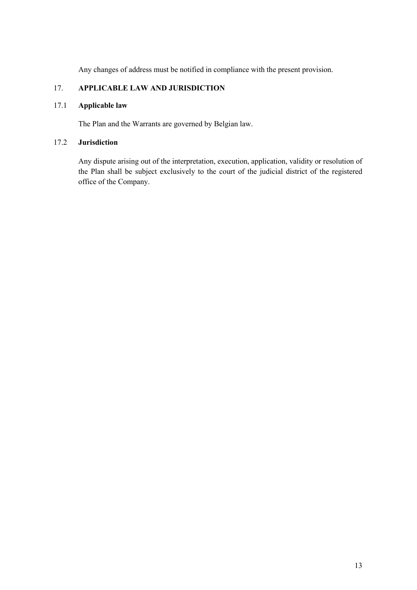Any changes of address must be notified in compliance with the present provision.

## 17. **APPLICABLE LAW AND JURISDICTION**

## 17.1 **Applicable law**

The Plan and the Warrants are governed by Belgian law.

## 17.2 **Jurisdiction**

Any dispute arising out of the interpretation, execution, application, validity or resolution of the Plan shall be subject exclusively to the court of the judicial district of the registered office of the Company.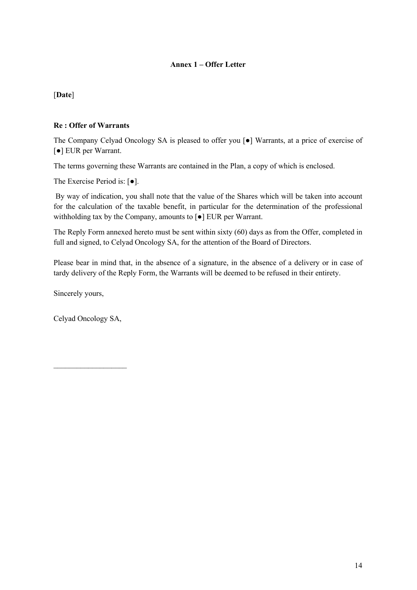## **Annex 1 – Offer Letter**

## [**Date**]

## **Re : Offer of Warrants**

The Company Celyad Oncology SA is pleased to offer you [●] Warrants, at a price of exercise of [●] EUR per Warrant.

The terms governing these Warrants are contained in the Plan, a copy of which is enclosed.

The Exercise Period is: [●].

By way of indication, you shall note that the value of the Shares which will be taken into account for the calculation of the taxable benefit, in particular for the determination of the professional withholding tax by the Company, amounts to [●] EUR per Warrant.

The Reply Form annexed hereto must be sent within sixty (60) days as from the Offer, completed in full and signed, to Celyad Oncology SA, for the attention of the Board of Directors.

Please bear in mind that, in the absence of a signature, in the absence of a delivery or in case of tardy delivery of the Reply Form, the Warrants will be deemed to be refused in their entirety.

Sincerely yours,

Celyad Oncology SA,

 $\overline{\phantom{a}}$  , where  $\overline{\phantom{a}}$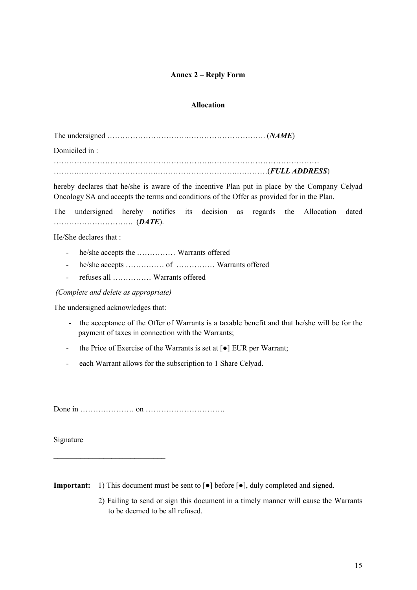## **Annex 2 – Reply Form**

#### **Allocation**

The undersigned ………………………….…………………………. (*NAME*)

Domiciled in :

………………………….………………………….…………………………………… ……….………………………….………………………….…………(*FULL ADDRESS*)

hereby declares that he/she is aware of the incentive Plan put in place by the Company Celyad Oncology SA and accepts the terms and conditions of the Offer as provided for in the Plan.

The undersigned hereby notifies its decision as regards the Allocation dated …………………………. (*DATE*).

He/She declares that :

- he/she accepts the …………… Warrants offered
- he/she accepts …………… of …………… Warrants offered
- refuses all …………… Warrants offered

*(Complete and delete as appropriate)*

The undersigned acknowledges that:

 $\overline{\phantom{a}}$  , where  $\overline{\phantom{a}}$  , where  $\overline{\phantom{a}}$  , where  $\overline{\phantom{a}}$ 

- the acceptance of the Offer of Warrants is a taxable benefit and that he/she will be for the payment of taxes in connection with the Warrants;
- the Price of Exercise of the Warrants is set at [●] EUR per Warrant;
- each Warrant allows for the subscription to 1 Share Celyad.

Done in ………………… on ………………………….

Signature

**Important:** 1) This document must be sent to [●] before [●], duly completed and signed.

2) Failing to send or sign this document in a timely manner will cause the Warrants to be deemed to be all refused.